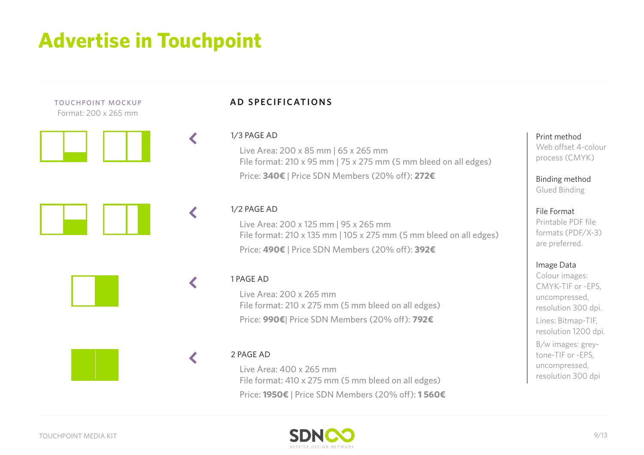## **Advertise in Touchpoint**